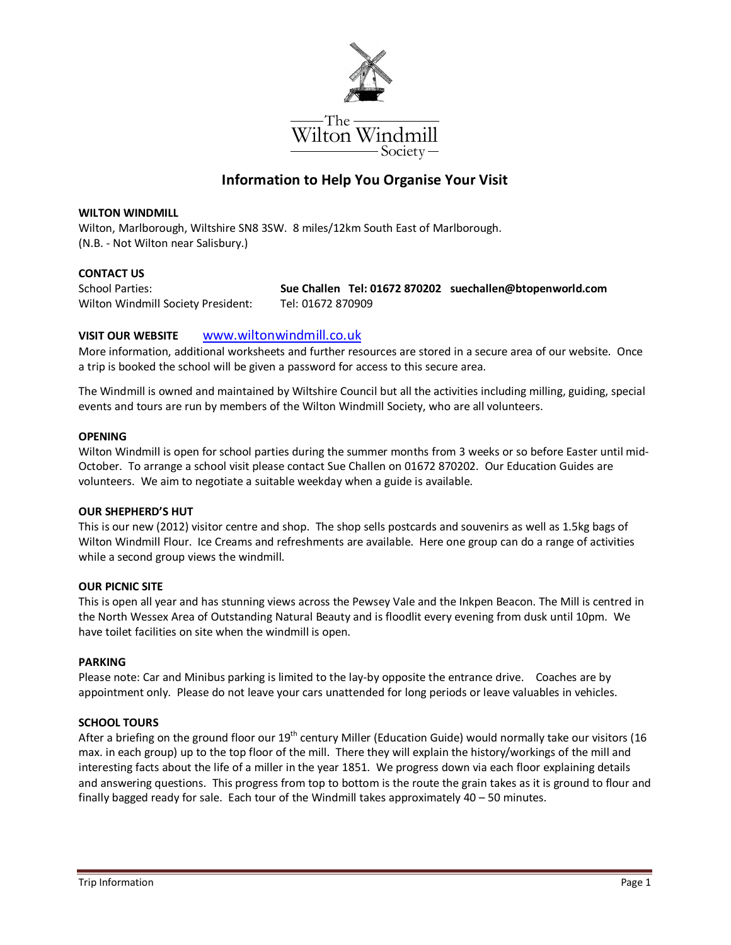

# **Information to Help You Organise Your Visit**

#### **WILTON WINDMILL**

Wilton, Marlborough, Wiltshire SN8 3SW. 8 miles/12km South East of Marlborough. (N.B. - Not Wilton near Salisbury.)

## **CONTACT US**

Wilton Windmill Society President: Tel: 01672 870909

School Parties: **Sue Challen Tel: 01672 870202 suechallen@btopenworld.com** 

## **VISIT OUR WEBSITE** www.wiltonwindmill.co.uk

More information, additional worksheets and further resources are stored in a secure area of our website. Once a trip is booked the school will be given a password for access to this secure area.

The Windmill is owned and maintained by Wiltshire Council but all the activities including milling, guiding, special events and tours are run by members of the Wilton Windmill Society, who are all volunteers.

### **OPENING**

Wilton Windmill is open for school parties during the summer months from 3 weeks or so before Easter until mid-October. To arrange a school visit please contact Sue Challen on 01672 870202. Our Education Guides are volunteers. We aim to negotiate a suitable weekday when a guide is available.

#### **OUR SHEPHERD'S HUT**

This is our new (2012) visitor centre and shop. The shop sells postcards and souvenirs as well as 1.5kg bags of Wilton Windmill Flour. Ice Creams and refreshments are available. Here one group can do a range of activities while a second group views the windmill.

#### **OUR PICNIC SITE**

This is open all year and has stunning views across the Pewsey Vale and the Inkpen Beacon. The Mill is centred in the North Wessex Area of Outstanding Natural Beauty and is floodlit every evening from dusk until 10pm. We have toilet facilities on site when the windmill is open.

#### **PARKING**

Please note: Car and Minibus parking is limited to the lay-by opposite the entrance drive. Coaches are by appointment only. Please do not leave your cars unattended for long periods or leave valuables in vehicles.

## **SCHOOL TOURS**

After a briefing on the ground floor our  $19^{th}$  century Miller (Education Guide) would normally take our visitors (16 max. in each group) up to the top floor of the mill. There they will explain the history/workings of the mill and interesting facts about the life of a miller in the year 1851. We progress down via each floor explaining details and answering questions. This progress from top to bottom is the route the grain takes as it is ground to flour and finally bagged ready for sale. Each tour of the Windmill takes approximately 40 – 50 minutes.